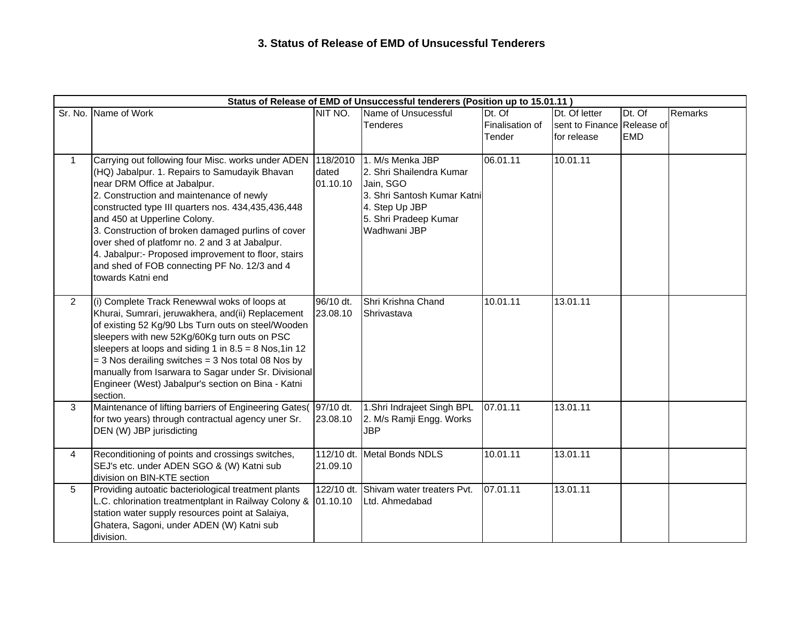## **3. Status of Release of EMD of Unsucessful Tenderers**

| Status of Release of EMD of Unsuccessful tenderers (Position up to 15.01.11) |                                                                                                                                                                                                                                                                                                                                                                                                                                                                                                           |                               |                                                                                                                                                     |                                       |                                                            |                      |         |  |  |  |  |
|------------------------------------------------------------------------------|-----------------------------------------------------------------------------------------------------------------------------------------------------------------------------------------------------------------------------------------------------------------------------------------------------------------------------------------------------------------------------------------------------------------------------------------------------------------------------------------------------------|-------------------------------|-----------------------------------------------------------------------------------------------------------------------------------------------------|---------------------------------------|------------------------------------------------------------|----------------------|---------|--|--|--|--|
|                                                                              | Sr. No. Name of Work                                                                                                                                                                                                                                                                                                                                                                                                                                                                                      | NIT NO.                       | Name of Unsucessful<br><b>Tenderes</b>                                                                                                              | $Dt.$ Of<br>Finalisation of<br>Tender | Dt. Of letter<br>sent to Finance Release of<br>for release | Dt. Of<br><b>EMD</b> | Remarks |  |  |  |  |
| $\mathbf{1}$                                                                 | Carrying out following four Misc. works under ADEN<br>(HQ) Jabalpur. 1. Repairs to Samudayik Bhavan<br>near DRM Office at Jabalpur.<br>2. Construction and maintenance of newly<br>constructed type III quarters nos. 434,435,436,448<br>and 450 at Upperline Colony.<br>3. Construction of broken damaged purlins of cover<br>over shed of platfomr no. 2 and 3 at Jabalpur.<br>4. Jabalpur:- Proposed improvement to floor, stairs<br>and shed of FOB connecting PF No. 12/3 and 4<br>towards Katni end | 118/2010<br>dated<br>01.10.10 | 1. M/s Menka JBP<br>2. Shri Shailendra Kumar<br>Jain, SGO<br>3. Shri Santosh Kumar Katni<br>4. Step Up JBP<br>5. Shri Pradeep Kumar<br>Wadhwani JBP | 06.01.11                              | 10.01.11                                                   |                      |         |  |  |  |  |
| 2                                                                            | (i) Complete Track Renewwal woks of loops at<br>Khurai, Sumrari, jeruwakhera, and(ii) Replacement<br>of existing 52 Kg/90 Lbs Turn outs on steel/Wooden<br>sleepers with new 52Kg/60Kg turn outs on PSC<br>sleepers at loops and siding 1 in $8.5 = 8$ Nos, 1 in 12<br>$=$ 3 Nos derailing switches $=$ 3 Nos total 08 Nos by<br>manually from Isarwara to Sagar under Sr. Divisional<br>Engineer (West) Jabalpur's section on Bina - Katni<br>section.                                                   | 96/10 dt.<br>23.08.10         | Shri Krishna Chand<br>Shrivastava                                                                                                                   | 10.01.11                              | 13.01.11                                                   |                      |         |  |  |  |  |
| 3                                                                            | Maintenance of lifting barriers of Engineering Gates( 97/10 dt.<br>for two years) through contractual agency uner Sr.<br>DEN (W) JBP jurisdicting                                                                                                                                                                                                                                                                                                                                                         | 23.08.10                      | 1.Shri Indrajeet Singh BPL<br>2. M/s Ramji Engg. Works<br>JBP                                                                                       | 07.01.11                              | 13.01.11                                                   |                      |         |  |  |  |  |
| $\overline{4}$                                                               | Reconditioning of points and crossings switches,<br>SEJ's etc. under ADEN SGO & (W) Katni sub<br>division on BIN-KTE section                                                                                                                                                                                                                                                                                                                                                                              | 21.09.10                      | 112/10 dt. Metal Bonds NDLS                                                                                                                         | 10.01.11                              | 13.01.11                                                   |                      |         |  |  |  |  |
| 5                                                                            | Providing autoatic bacteriological treatment plants<br>L.C. chlorination treatmentplant in Railway Colony & 01.10.10<br>station water supply resources point at Salaiya,<br>Ghatera, Sagoni, under ADEN (W) Katni sub<br>division.                                                                                                                                                                                                                                                                        |                               | 122/10 dt. Shivam water treaters Pvt.<br>Ltd. Ahmedabad                                                                                             | 07.01.11                              | 13.01.11                                                   |                      |         |  |  |  |  |